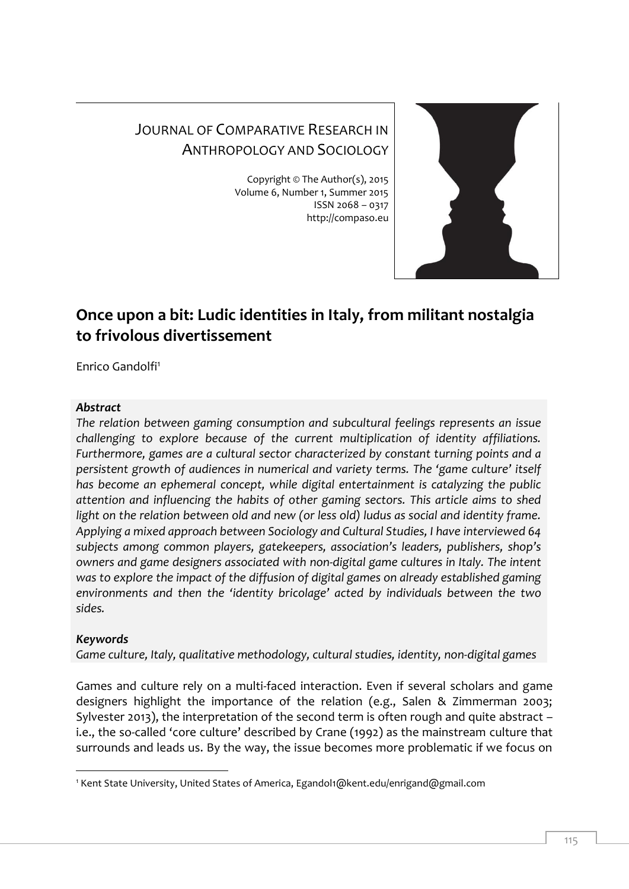# JOURNAL OF COMPARATIVE RESEARCH IN ANTHROPOLOGY AND SOCIOLOGY

Copyright © The Author(s), 2015 Volume 6, Number 1, Summer 2015 ISSN 2068 – 0317 http://compaso.eu



## **Once upon a bit: Ludic identities in Italy, from militant nostalgia to frivolous divertissement**

Enrico Gandolfi<sup>1</sup>

## *Abstract*

*The relation between gaming consumption and subcultural feelings represents an issue challenging to explore because of the current multiplication of identity affiliations. Furthermore, games are a cultural sector characterized by constant turning points and a persistent growth of audiences in numerical and variety terms. The 'game culture' itself has become an ephemeral concept, while digital entertainment is catalyzing the public attention and influencing the habits of other gaming sectors. This article aims to shed*  light on the relation between old and new (or less old) ludus as social and identity frame. *Applying a mixed approach between Sociology and Cultural Studies, I have interviewed 64 subjects among common players, gatekeepers, association's leaders, publishers, shop's owners and game designers associated with non-digital game cultures in Italy. The intent was to explore the impact of the diffusion of digital games on already established gaming environments and then the 'identity bricolage' acted by individuals between the two sides.*

## *Keywords*

-

*Game culture, Italy, qualitative methodology, cultural studies, identity, non-digital games*

Games and culture rely on a multi-faced interaction. Even if several scholars and game designers highlight the importance of the relation (e.g., Salen & Zimmerman 2003; Sylvester 2013), the interpretation of the second term is often rough and quite abstract – i.e., the so-called 'core culture' described by Crane (1992) as the mainstream culture that surrounds and leads us. By the way, the issue becomes more problematic if we focus on

<sup>1</sup> Kent State University, United States of America, Egandol1@kent.edu/enrigand@gmail.com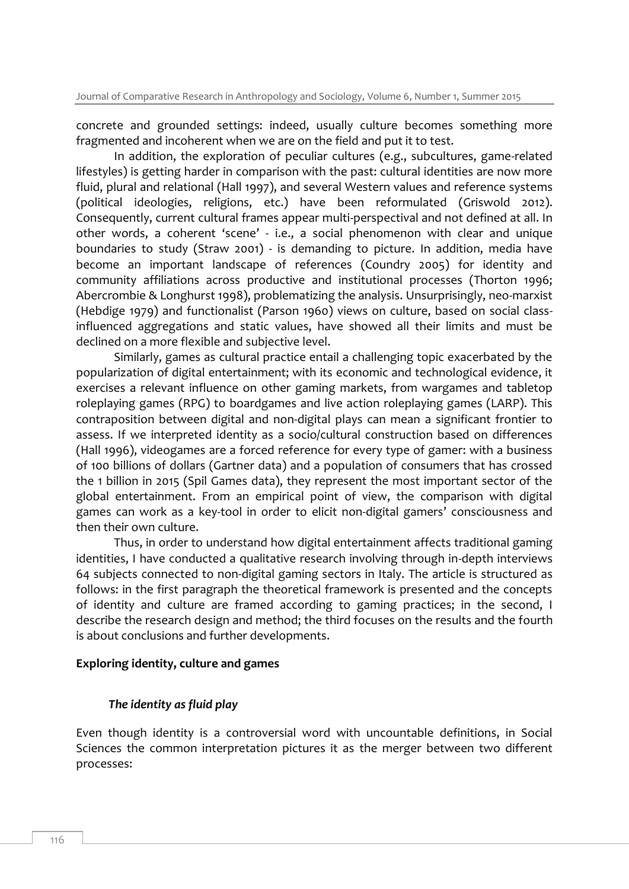concrete and grounded settings: indeed, usually culture becomes something more fragmented and incoherent when we are on the field and put it to test.

In addition, the exploration of peculiar cultures (e.g., subcultures, game-related lifestyles) is getting harder in comparison with the past: cultural identities are now more fluid, plural and relational (Hall 1997), and several Western values and reference systems (political ideologies, religions, etc.) have been reformulated (Griswold 2012). Consequently, current cultural frames appear multi-perspectival and not defined at all. In other words, a coherent 'scene' - i.e., a social phenomenon with clear and unique boundaries to study (Straw 2001) - is demanding to picture. In addition, media have become an important landscape of references (Coundry 2005) for identity and community affiliations across productive and institutional processes (Thorton 1996; Abercrombie & Longhurst 1998), problematizing the analysis. Unsurprisingly, neo-marxist (Hebdige 1979) and functionalist (Parson 1960) views on culture, based on social classinfluenced aggregations and static values, have showed all their limits and must be declined on a more flexible and subjective level.

Similarly, games as cultural practice entail a challenging topic exacerbated by the popularization of digital entertainment; with its economic and technological evidence, it exercises a relevant influence on other gaming markets, from wargames and tabletop roleplaying games (RPG) to boardgames and live action roleplaying games (LARP). This contraposition between digital and non-digital plays can mean a significant frontier to assess. If we interpreted identity as a socio/cultural construction based on differences (Hall 1996), videogames are a forced reference for every type of gamer: with a business of 100 billions of dollars (Gartner data) and a population of consumers that has crossed the 1 billion in 2015 (Spil Games data), they represent the most important sector of the global entertainment. From an empirical point of view, the comparison with digital games can work as a key-tool in order to elicit non-digital gamers' consciousness and then their own culture.

Thus, in order to understand how digital entertainment affects traditional gaming identities, I have conducted a qualitative research involving through in-depth interviews 64 subjects connected to non-digital gaming sectors in Italy. The article is structured as follows: in the first paragraph the theoretical framework is presented and the concepts of identity and culture are framed according to gaming practices; in the second, I describe the research design and method; the third focuses on the results and the fourth is about conclusions and further developments.

#### **Exploring identity, culture and games**

#### *The identity as fluid play*

Even though identity is a controversial word with uncountable definitions, in Social Sciences the common interpretation pictures it as the merger between two different processes: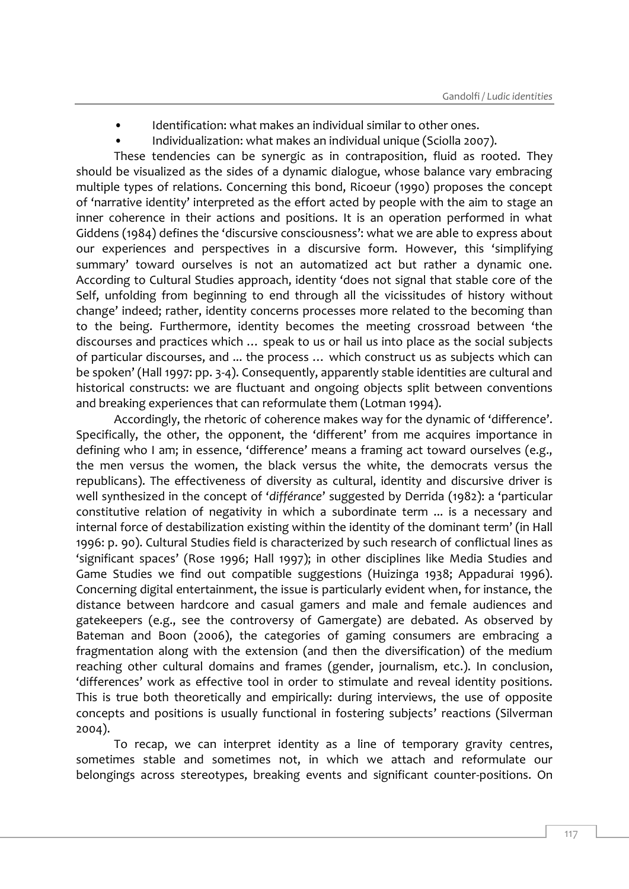- Identification: what makes an individual similar to other ones.
- Individualization: what makes an individual unique (Sciolla 2007).

These tendencies can be synergic as in contraposition, fluid as rooted. They should be visualized as the sides of a dynamic dialogue, whose balance vary embracing multiple types of relations. Concerning this bond, Ricoeur (1990) proposes the concept of 'narrative identity' interpreted as the effort acted by people with the aim to stage an inner coherence in their actions and positions. It is an operation performed in what Giddens (1984) defines the 'discursive consciousness': what we are able to express about our experiences and perspectives in a discursive form. However, this 'simplifying summary' toward ourselves is not an automatized act but rather a dynamic one. According to Cultural Studies approach, identity 'does not signal that stable core of the Self, unfolding from beginning to end through all the vicissitudes of history without change' indeed; rather, identity concerns processes more related to the becoming than to the being. Furthermore, identity becomes the meeting crossroad between 'the discourses and practices which … speak to us or hail us into place as the social subjects of particular discourses, and ... the process … which construct us as subjects which can be spoken' (Hall 1997: pp. 3-4). Consequently, apparently stable identities are cultural and historical constructs: we are fluctuant and ongoing objects split between conventions and breaking experiences that can reformulate them (Lotman 1994).

Accordingly, the rhetoric of coherence makes way for the dynamic of 'difference'. Specifically, the other, the opponent, the 'different' from me acquires importance in defining who I am; in essence, 'difference' means a framing act toward ourselves (e.g., the men versus the women, the black versus the white, the democrats versus the republicans). The effectiveness of diversity as cultural, identity and discursive driver is well synthesized in the concept of '*différance*' suggested by Derrida (1982): a 'particular constitutive relation of negativity in which a subordinate term ... is a necessary and internal force of destabilization existing within the identity of the dominant term' (in Hall 1996: p. 90). Cultural Studies field is characterized by such research of conflictual lines as 'significant spaces' (Rose 1996; Hall 1997); in other disciplines like Media Studies and Game Studies we find out compatible suggestions (Huizinga 1938; Appadurai 1996). Concerning digital entertainment, the issue is particularly evident when, for instance, the distance between hardcore and casual gamers and male and female audiences and gatekeepers (e.g., see the controversy of Gamergate) are debated. As observed by Bateman and Boon (2006), the categories of gaming consumers are embracing a fragmentation along with the extension (and then the diversification) of the medium reaching other cultural domains and frames (gender, journalism, etc.). In conclusion, 'differences' work as effective tool in order to stimulate and reveal identity positions. This is true both theoretically and empirically: during interviews, the use of opposite concepts and positions is usually functional in fostering subjects' reactions (Silverman 2004).

To recap, we can interpret identity as a line of temporary gravity centres, sometimes stable and sometimes not, in which we attach and reformulate our belongings across stereotypes, breaking events and significant counter-positions. On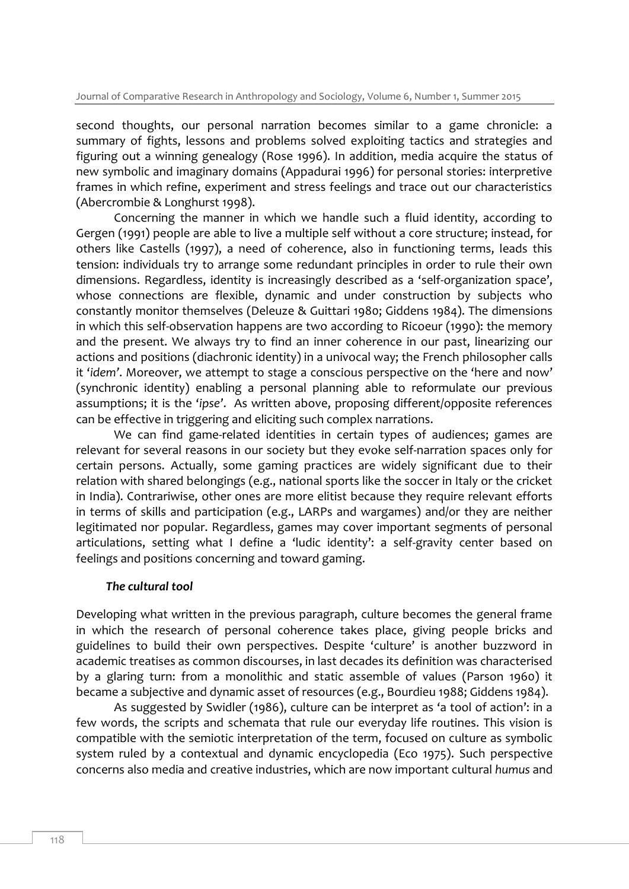second thoughts, our personal narration becomes similar to a game chronicle: a summary of fights, lessons and problems solved exploiting tactics and strategies and figuring out a winning genealogy (Rose 1996). In addition, media acquire the status of new symbolic and imaginary domains (Appadurai 1996) for personal stories: interpretive frames in which refine, experiment and stress feelings and trace out our characteristics (Abercrombie & Longhurst 1998).

Concerning the manner in which we handle such a fluid identity, according to Gergen (1991) people are able to live a multiple self without a core structure; instead, for others like Castells (1997), a need of coherence, also in functioning terms, leads this tension: individuals try to arrange some redundant principles in order to rule their own dimensions. Regardless, identity is increasingly described as a 'self-organization space', whose connections are flexible, dynamic and under construction by subjects who constantly monitor themselves (Deleuze & Guittari 1980; Giddens 1984). The dimensions in which this self-observation happens are two according to Ricoeur (1990): the memory and the present. We always try to find an inner coherence in our past, linearizing our actions and positions (diachronic identity) in a univocal way; the French philosopher calls it '*idem'*. Moreover, we attempt to stage a conscious perspective on the 'here and now' (synchronic identity) enabling a personal planning able to reformulate our previous assumptions; it is the '*ipse'*. As written above, proposing different/opposite references can be effective in triggering and eliciting such complex narrations.

We can find game-related identities in certain types of audiences; games are relevant for several reasons in our society but they evoke self-narration spaces only for certain persons. Actually, some gaming practices are widely significant due to their relation with shared belongings (e.g., national sports like the soccer in Italy or the cricket in India). Contrariwise, other ones are more elitist because they require relevant efforts in terms of skills and participation (e.g., LARPs and wargames) and/or they are neither legitimated nor popular. Regardless, games may cover important segments of personal articulations, setting what I define a 'ludic identity': a self-gravity center based on feelings and positions concerning and toward gaming.

#### *The cultural tool*

Developing what written in the previous paragraph, culture becomes the general frame in which the research of personal coherence takes place, giving people bricks and guidelines to build their own perspectives. Despite 'culture' is another buzzword in academic treatises as common discourses, in last decades its definition was characterised by a glaring turn: from a monolithic and static assemble of values (Parson 1960) it became a subjective and dynamic asset of resources (e.g., Bourdieu 1988; Giddens 1984).

As suggested by Swidler (1986), culture can be interpret as 'a tool of action': in a few words, the scripts and schemata that rule our everyday life routines. This vision is compatible with the semiotic interpretation of the term, focused on culture as symbolic system ruled by a contextual and dynamic encyclopedia (Eco 1975). Such perspective concerns also media and creative industries, which are now important cultural *humus* and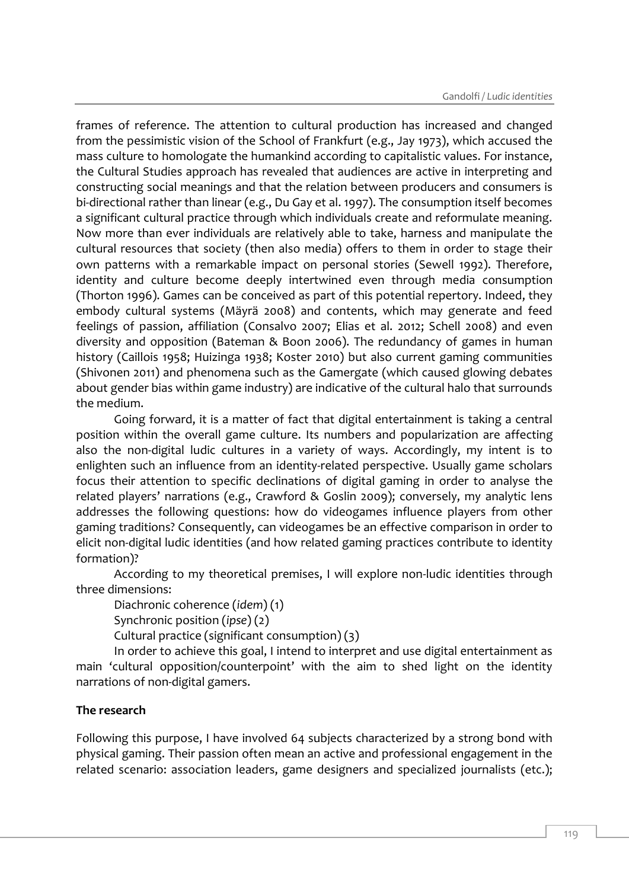frames of reference. The attention to cultural production has increased and changed from the pessimistic vision of the School of Frankfurt (e.g., Jay 1973), which accused the mass culture to homologate the humankind according to capitalistic values. For instance, the Cultural Studies approach has revealed that audiences are active in interpreting and constructing social meanings and that the relation between producers and consumers is bi-directional rather than linear (e.g., Du Gay et al. 1997). The consumption itself becomes a significant cultural practice through which individuals create and reformulate meaning. Now more than ever individuals are relatively able to take, harness and manipulate the cultural resources that society (then also media) offers to them in order to stage their own patterns with a remarkable impact on personal stories (Sewell 1992). Therefore, identity and culture become deeply intertwined even through media consumption (Thorton 1996). Games can be conceived as part of this potential repertory. Indeed, they embody cultural systems (Mäyrä 2008) and contents, which may generate and feed feelings of passion, affiliation (Consalvo 2007; Elias et al. 2012; Schell 2008) and even diversity and opposition (Bateman & Boon 2006). The redundancy of games in human history (Caillois 1958; Huizinga 1938; Koster 2010) but also current gaming communities (Shivonen 2011) and phenomena such as the Gamergate (which caused glowing debates about gender bias within game industry) are indicative of the cultural halo that surrounds the medium.

Going forward, it is a matter of fact that digital entertainment is taking a central position within the overall game culture. Its numbers and popularization are affecting also the non-digital ludic cultures in a variety of ways. Accordingly, my intent is to enlighten such an influence from an identity-related perspective. Usually game scholars focus their attention to specific declinations of digital gaming in order to analyse the related players' narrations (e.g., Crawford & Goslin 2009); conversely, my analytic lens addresses the following questions: how do videogames influence players from other gaming traditions? Consequently, can videogames be an effective comparison in order to elicit non-digital ludic identities (and how related gaming practices contribute to identity formation)?

According to my theoretical premises, I will explore non-ludic identities through three dimensions:

Diachronic coherence (*idem*) (1)

Synchronic position (*ipse*) (2)

Cultural practice (significant consumption) (3)

In order to achieve this goal, I intend to interpret and use digital entertainment as main 'cultural opposition/counterpoint' with the aim to shed light on the identity narrations of non-digital gamers.

## **The research**

Following this purpose, I have involved 64 subjects characterized by a strong bond with physical gaming. Their passion often mean an active and professional engagement in the related scenario: association leaders, game designers and specialized journalists (etc.);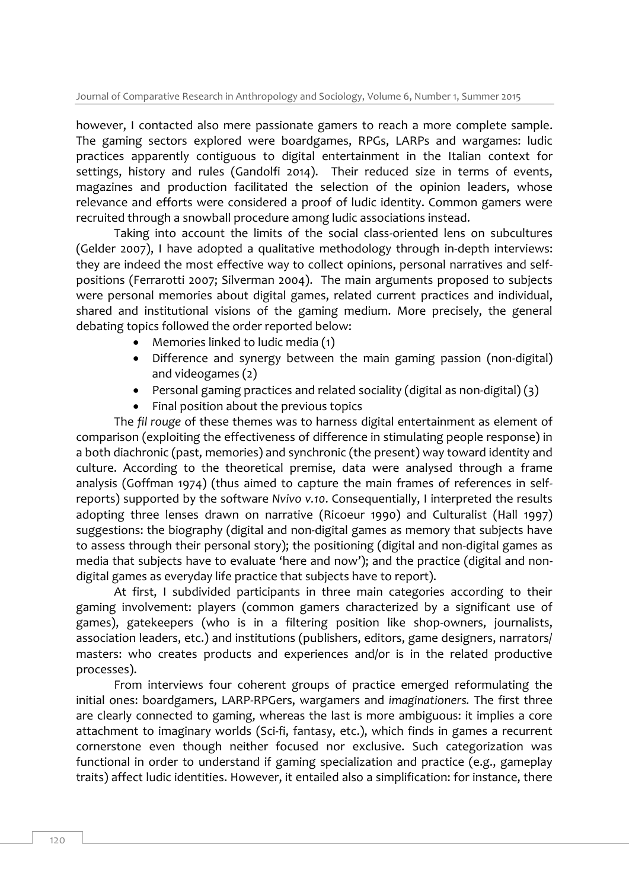however, I contacted also mere passionate gamers to reach a more complete sample. The gaming sectors explored were boardgames, RPGs, LARPs and wargames: ludic practices apparently contiguous to digital entertainment in the Italian context for settings, history and rules (Gandolfi 2014). Their reduced size in terms of events, magazines and production facilitated the selection of the opinion leaders, whose relevance and efforts were considered a proof of ludic identity. Common gamers were recruited through a snowball procedure among ludic associations instead.

Taking into account the limits of the social class-oriented lens on subcultures (Gelder 2007), I have adopted a qualitative methodology through in-depth interviews: they are indeed the most effective way to collect opinions, personal narratives and selfpositions (Ferrarotti 2007; Silverman 2004). The main arguments proposed to subjects were personal memories about digital games, related current practices and individual, shared and institutional visions of the gaming medium. More precisely, the general debating topics followed the order reported below:

- Memories linked to ludic media (1)
- Difference and synergy between the main gaming passion (non-digital) and videogames (2)
- Personal gaming practices and related sociality (digital as non-digital) (3)
- Final position about the previous topics

The *fil rouge* of these themes was to harness digital entertainment as element of comparison (exploiting the effectiveness of difference in stimulating people response) in a both diachronic (past, memories) and synchronic (the present) way toward identity and culture. According to the theoretical premise, data were analysed through a frame analysis (Goffman 1974) (thus aimed to capture the main frames of references in selfreports) supported by the software *Nvivo v.10*. Consequentially, I interpreted the results adopting three lenses drawn on narrative (Ricoeur 1990) and Culturalist (Hall 1997) suggestions: the biography (digital and non-digital games as memory that subjects have to assess through their personal story); the positioning (digital and non-digital games as media that subjects have to evaluate 'here and now'); and the practice (digital and nondigital games as everyday life practice that subjects have to report).

At first, I subdivided participants in three main categories according to their gaming involvement: players (common gamers characterized by a significant use of games), gatekeepers (who is in a filtering position like shop-owners, journalists, association leaders, etc.) and institutions (publishers, editors, game designers, narrators/ masters: who creates products and experiences and/or is in the related productive processes).

From interviews four coherent groups of practice emerged reformulating the initial ones: boardgamers, LARP-RPGers, wargamers and *imaginationers.* The first three are clearly connected to gaming, whereas the last is more ambiguous: it implies a core attachment to imaginary worlds (Sci-fi, fantasy, etc.), which finds in games a recurrent cornerstone even though neither focused nor exclusive. Such categorization was functional in order to understand if gaming specialization and practice (e.g., gameplay traits) affect ludic identities. However, it entailed also a simplification: for instance, there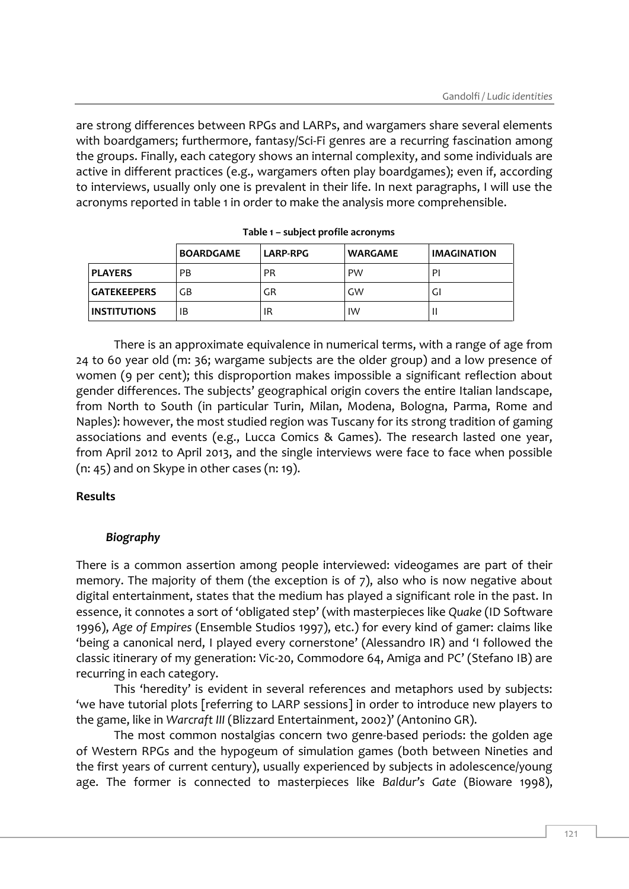are strong differences between RPGs and LARPs, and wargamers share several elements with boardgamers; furthermore, fantasy/Sci-Fi genres are a recurring fascination among the groups. Finally, each category shows an internal complexity, and some individuals are active in different practices (e.g., wargamers often play boardgames); even if, according to interviews, usually only one is prevalent in their life. In next paragraphs, I will use the acronyms reported in table 1 in order to make the analysis more comprehensible.

|                     | <b>BOARDGAME</b> | <b>LARP-RPG</b> | <b>WARGAME</b> | <b>IMAGINATION</b> |
|---------------------|------------------|-----------------|----------------|--------------------|
| <b>PLAYERS</b>      | РB               | PR              | <b>PW</b>      | PI                 |
| <b>GATEKEEPERS</b>  | GВ               | GR              | GW             | GI                 |
| <b>INSTITUTIONS</b> | ΙB               | IR              | IW             |                    |

 **Table 1 – subject profile acronyms** 

There is an approximate equivalence in numerical terms, with a range of age from 24 to 60 year old (m: 36; wargame subjects are the older group) and a low presence of women (9 per cent); this disproportion makes impossible a significant reflection about gender differences. The subjects' geographical origin covers the entire Italian landscape, from North to South (in particular Turin, Milan, Modena, Bologna, Parma, Rome and Naples): however, the most studied region was Tuscany for its strong tradition of gaming associations and events (e.g., Lucca Comics & Games). The research lasted one year, from April 2012 to April 2013, and the single interviews were face to face when possible (n: 45) and on Skype in other cases (n: 19).

## **Results**

## *Biography*

There is a common assertion among people interviewed: videogames are part of their memory. The majority of them (the exception is of 7), also who is now negative about digital entertainment, states that the medium has played a significant role in the past. In essence, it connotes a sort of 'obligated step' (with masterpieces like *Quake* (ID Software 1996), *Age of Empires* (Ensemble Studios 1997), etc.) for every kind of gamer: claims like 'being a canonical nerd, I played every cornerstone' (Alessandro IR) and 'I followed the classic itinerary of my generation: Vic-20, Commodore 64, Amiga and PC' (Stefano IB) are recurring in each category.

This 'heredity' is evident in several references and metaphors used by subjects: 'we have tutorial plots [referring to LARP sessions] in order to introduce new players to the game, like in *Warcraft III* (Blizzard Entertainment, 2002)' (Antonino GR).

The most common nostalgias concern two genre-based periods: the golden age of Western RPGs and the hypogeum of simulation games (both between Nineties and the first years of current century), usually experienced by subjects in adolescence/young age. The former is connected to masterpieces like *Baldur's Gate* (Bioware 1998),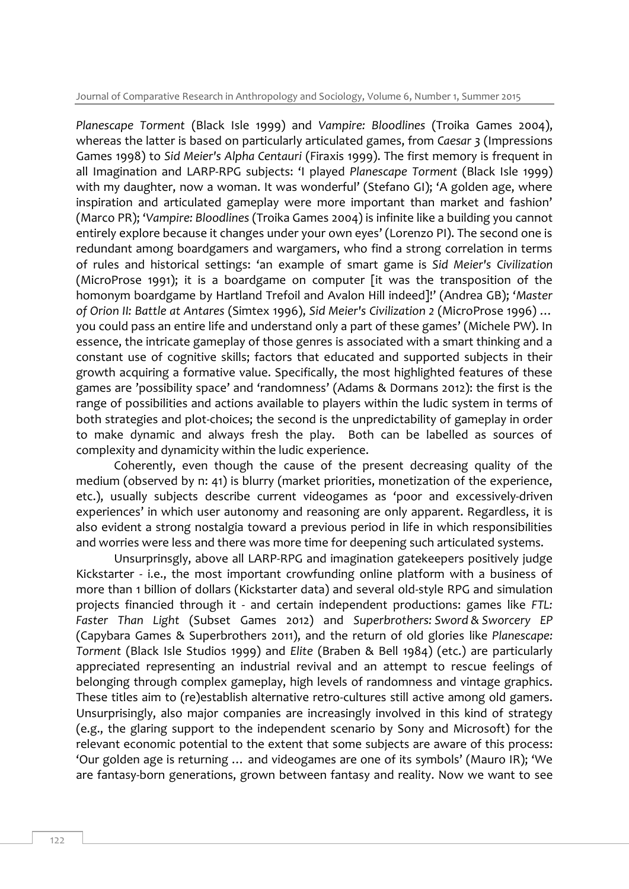Journal of Comparative Research in Anthropology and Sociology, Volume 6, Number 1, Summer 2015

*Planescape Torment* (Black Isle 1999) and *Vampire: Bloodlines* (Troika Games 2004), whereas the latter is based on particularly articulated games, from *Caesar 3* (Impressions Games 1998) to *Sid Meier's Alpha Centauri* (Firaxis 1999). The first memory is frequent in all Imagination and LARP-RPG subjects: 'I played *Planescape Torment* (Black Isle 1999) with my daughter, now a woman. It was wonderful' (Stefano GI); 'A golden age, where inspiration and articulated gameplay were more important than market and fashion' (Marco PR); '*Vampire: Bloodlines* (Troika Games 2004) is infinite like a building you cannot entirely explore because it changes under your own eyes' (Lorenzo PI). The second one is redundant among boardgamers and wargamers, who find a strong correlation in terms of rules and historical settings: 'an example of smart game is *Sid Meier's Civilization*  (MicroProse 1991); it is a boardgame on computer [it was the transposition of the homonym boardgame by Hartland Trefoil and Avalon Hill indeed]!' (Andrea GB); '*Master of Orion II: Battle at Antares* (Simtex 1996), *Sid Meier's Civilization 2* (MicroProse 1996) … you could pass an entire life and understand only a part of these games' (Michele PW). In essence, the intricate gameplay of those genres is associated with a smart thinking and a constant use of cognitive skills; factors that educated and supported subjects in their growth acquiring a formative value. Specifically, the most highlighted features of these games are 'possibility space' and 'randomness' (Adams & Dormans 2012): the first is the range of possibilities and actions available to players within the ludic system in terms of both strategies and plot-choices; the second is the unpredictability of gameplay in order to make dynamic and always fresh the play. Both can be labelled as sources of complexity and dynamicity within the ludic experience.

Coherently, even though the cause of the present decreasing quality of the medium (observed by n: 41) is blurry (market priorities, monetization of the experience, etc.), usually subjects describe current videogames as 'poor and excessively-driven experiences' in which user autonomy and reasoning are only apparent. Regardless, it is also evident a strong nostalgia toward a previous period in life in which responsibilities and worries were less and there was more time for deepening such articulated systems.

Unsurprinsgly, above all LARP-RPG and imagination gatekeepers positively judge Kickstarter - i.e., the most important crowfunding online platform with a business of more than 1 billion of dollars (Kickstarter data) and several old-style RPG and simulation projects financied through it - and certain independent productions: games like *FTL: Faster Than Light* (Subset Games 2012) and *Superbrothers: Sword & Sworcery EP* (Capybara Games & Superbrothers 2011), and the return of old glories like *Planescape: Torment* (Black Isle Studios 1999) and *Elite* (Braben & Bell 1984) (etc.) are particularly appreciated representing an industrial revival and an attempt to rescue feelings of belonging through complex gameplay, high levels of randomness and vintage graphics. These titles aim to (re)establish alternative retro-cultures still active among old gamers. Unsurprisingly, also major companies are increasingly involved in this kind of strategy (e.g., the glaring support to the independent scenario by Sony and Microsoft) for the relevant economic potential to the extent that some subjects are aware of this process: 'Our golden age is returning … and videogames are one of its symbols' (Mauro IR); 'We are fantasy-born generations, grown between fantasy and reality. Now we want to see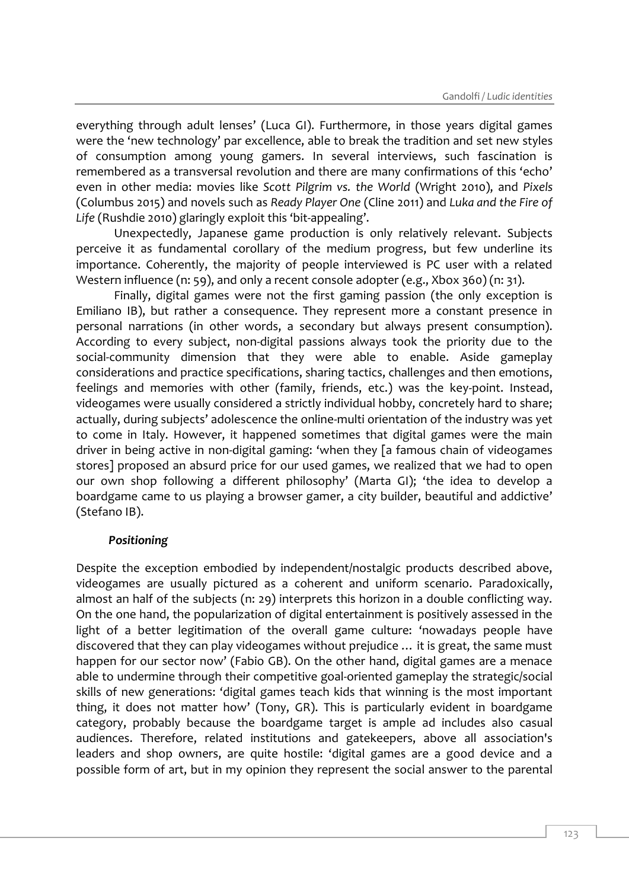everything through adult lenses' (Luca GI). Furthermore, in those years digital games were the 'new technology' par excellence, able to break the tradition and set new styles of consumption among young gamers. In several interviews, such fascination is remembered as a transversal revolution and there are many confirmations of this 'echo' even in other media: movies like *Scott Pilgrim vs. the World* (Wright 2010), and *Pixels*  (Columbus 2015) and novels such as *Ready Player One* (Cline 2011) and *Luka and the Fire of Life* (Rushdie 2010) glaringly exploit this 'bit-appealing'.

Unexpectedly, Japanese game production is only relatively relevant. Subjects perceive it as fundamental corollary of the medium progress, but few underline its importance. Coherently, the majority of people interviewed is PC user with a related Western influence (n: 59), and only a recent console adopter (e.g., Xbox 360) (n: 31).

Finally, digital games were not the first gaming passion (the only exception is Emiliano IB), but rather a consequence. They represent more a constant presence in personal narrations (in other words, a secondary but always present consumption). According to every subject, non-digital passions always took the priority due to the social-community dimension that they were able to enable. Aside gameplay considerations and practice specifications, sharing tactics, challenges and then emotions, feelings and memories with other (family, friends, etc.) was the key-point. Instead, videogames were usually considered a strictly individual hobby, concretely hard to share; actually, during subjects' adolescence the online-multi orientation of the industry was yet to come in Italy. However, it happened sometimes that digital games were the main driver in being active in non-digital gaming: 'when they [a famous chain of videogames stores] proposed an absurd price for our used games, we realized that we had to open our own shop following a different philosophy' (Marta GI); 'the idea to develop a boardgame came to us playing a browser gamer, a city builder, beautiful and addictive' (Stefano IB).

#### *Positioning*

Despite the exception embodied by independent/nostalgic products described above, videogames are usually pictured as a coherent and uniform scenario. Paradoxically, almost an half of the subjects (n: 29) interprets this horizon in a double conflicting way. On the one hand, the popularization of digital entertainment is positively assessed in the light of a better legitimation of the overall game culture: 'nowadays people have discovered that they can play videogames without prejudice … it is great, the same must happen for our sector now' (Fabio GB). On the other hand, digital games are a menace able to undermine through their competitive goal-oriented gameplay the strategic/social skills of new generations: 'digital games teach kids that winning is the most important thing, it does not matter how' (Tony, GR). This is particularly evident in boardgame category, probably because the boardgame target is ample ad includes also casual audiences. Therefore, related institutions and gatekeepers, above all association's leaders and shop owners, are quite hostile: 'digital games are a good device and a possible form of art, but in my opinion they represent the social answer to the parental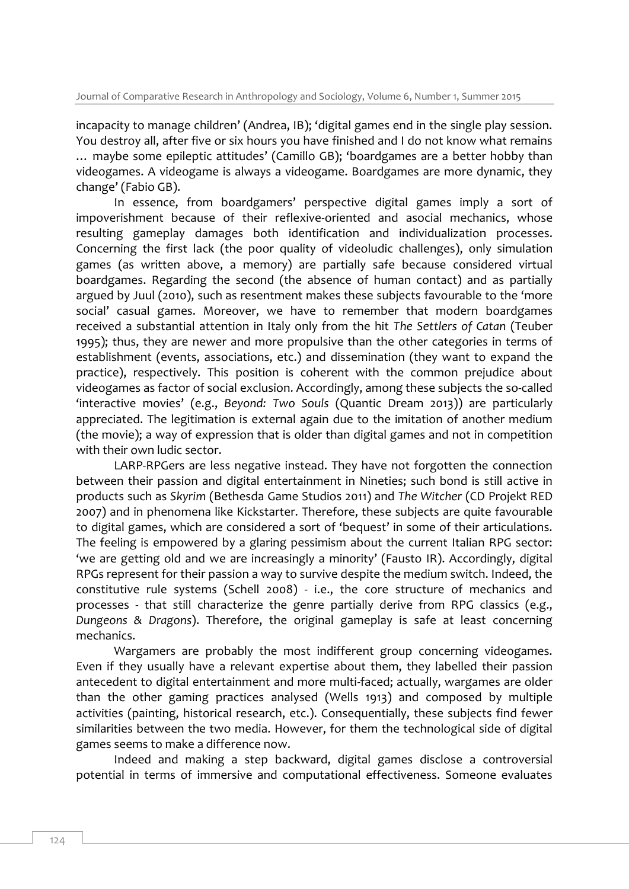incapacity to manage children' (Andrea, IB); 'digital games end in the single play session. You destroy all, after five or six hours you have finished and I do not know what remains … maybe some epileptic attitudes' (Camillo GB); 'boardgames are a better hobby than videogames. A videogame is always a videogame. Boardgames are more dynamic, they change' (Fabio GB).

In essence, from boardgamers' perspective digital games imply a sort of impoverishment because of their reflexive-oriented and asocial mechanics, whose resulting gameplay damages both identification and individualization processes. Concerning the first lack (the poor quality of videoludic challenges), only simulation games (as written above, a memory) are partially safe because considered virtual boardgames. Regarding the second (the absence of human contact) and as partially argued by Juul (2010), such as resentment makes these subjects favourable to the 'more social' casual games. Moreover, we have to remember that modern boardgames received a substantial attention in Italy only from the hit *The Settlers of Catan* (Teuber 1995); thus, they are newer and more propulsive than the other categories in terms of establishment (events, associations, etc.) and dissemination (they want to expand the practice), respectively. This position is coherent with the common prejudice about videogames as factor of social exclusion. Accordingly, among these subjects the so-called 'interactive movies' (e.g., *Beyond: Two Souls* (Quantic Dream 2013)) are particularly appreciated. The legitimation is external again due to the imitation of another medium (the movie); a way of expression that is older than digital games and not in competition with their own ludic sector.

LARP-RPGers are less negative instead. They have not forgotten the connection between their passion and digital entertainment in Nineties; such bond is still active in products such as *Skyrim* (Bethesda Game Studios 2011) and *The Witcher* (CD Projekt RED 2007) and in phenomena like Kickstarter. Therefore, these subjects are quite favourable to digital games, which are considered a sort of 'bequest' in some of their articulations. The feeling is empowered by a glaring pessimism about the current Italian RPG sector: 'we are getting old and we are increasingly a minority' (Fausto IR). Accordingly, digital RPGs represent for their passion a way to survive despite the medium switch. Indeed, the constitutive rule systems (Schell 2008) - i.e., the core structure of mechanics and processes - that still characterize the genre partially derive from RPG classics (e.g., *Dungeons & Dragons*). Therefore, the original gameplay is safe at least concerning mechanics.

Wargamers are probably the most indifferent group concerning videogames. Even if they usually have a relevant expertise about them, they labelled their passion antecedent to digital entertainment and more multi-faced; actually, wargames are older than the other gaming practices analysed (Wells 1913) and composed by multiple activities (painting, historical research, etc.). Consequentially, these subjects find fewer similarities between the two media. However, for them the technological side of digital games seems to make a difference now.

Indeed and making a step backward, digital games disclose a controversial potential in terms of immersive and computational effectiveness. Someone evaluates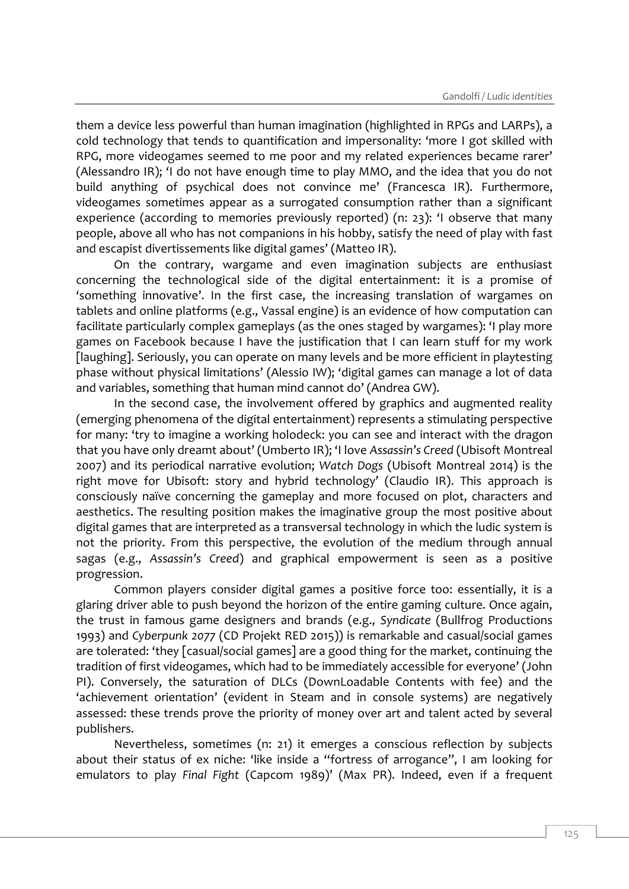them a device less powerful than human imagination (highlighted in RPGs and LARPs), a cold technology that tends to quantification and impersonality: 'more I got skilled with RPG, more videogames seemed to me poor and my related experiences became rarer' (Alessandro IR); 'I do not have enough time to play MMO, and the idea that you do not build anything of psychical does not convince me' (Francesca IR). Furthermore, videogames sometimes appear as a surrogated consumption rather than a significant experience (according to memories previously reported) (n: 23): 'I observe that many people, above all who has not companions in his hobby, satisfy the need of play with fast and escapist divertissements like digital games' (Matteo IR).

On the contrary, wargame and even imagination subjects are enthusiast concerning the technological side of the digital entertainment: it is a promise of 'something innovative'. In the first case, the increasing translation of wargames on tablets and online platforms (e.g., Vassal engine) is an evidence of how computation can facilitate particularly complex gameplays (as the ones staged by wargames): 'I play more games on Facebook because I have the justification that I can learn stuff for my work [laughing]. Seriously, you can operate on many levels and be more efficient in playtesting phase without physical limitations' (Alessio IW); 'digital games can manage a lot of data and variables, something that human mind cannot do' (Andrea GW).

In the second case, the involvement offered by graphics and augmented reality (emerging phenomena of the digital entertainment) represents a stimulating perspective for many: 'try to imagine a working holodeck: you can see and interact with the dragon that you have only dreamt about' (Umberto IR); 'I love *Assassin's Creed* (Ubisoft Montreal 2007) and its periodical narrative evolution; *Watch Dogs* (Ubisoft Montreal 2014) is the right move for Ubisoft: story and hybrid technology' (Claudio IR). This approach is consciously naïve concerning the gameplay and more focused on plot, characters and aesthetics. The resulting position makes the imaginative group the most positive about digital games that are interpreted as a transversal technology in which the ludic system is not the priority. From this perspective, the evolution of the medium through annual sagas (e.g., *Assassin's Creed*) and graphical empowerment is seen as a positive progression.

Common players consider digital games a positive force too: essentially, it is a glaring driver able to push beyond the horizon of the entire gaming culture. Once again, the trust in famous game designers and brands (e.g., *Syndicate* (Bullfrog Productions 1993) and *Cyberpunk 2077* (CD Projekt RED 2015)) is remarkable and casual/social games are tolerated: 'they [casual/social games] are a good thing for the market, continuing the tradition of first videogames, which had to be immediately accessible for everyone' (John PI). Conversely, the saturation of DLCs (DownLoadable Contents with fee) and the 'achievement orientation' (evident in Steam and in console systems) are negatively assessed: these trends prove the priority of money over art and talent acted by several publishers.

Nevertheless, sometimes (n: 21) it emerges a conscious reflection by subjects about their status of ex niche: 'like inside a "fortress of arrogance", I am looking for emulators to play *Final Fight* (Capcom 1989)' (Max PR). Indeed, even if a frequent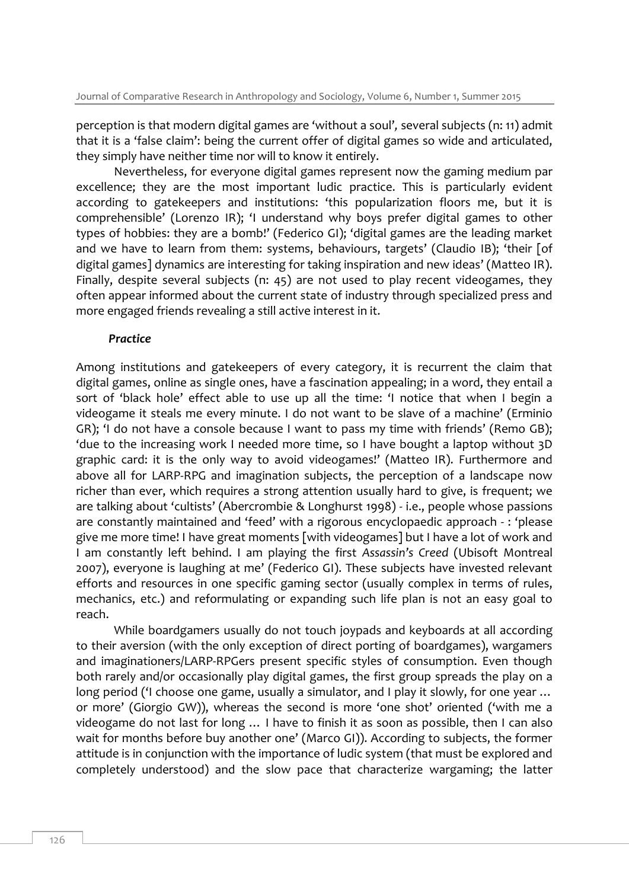perception is that modern digital games are 'without a soul'*,* several subjects (n: 11) admit that it is a 'false claim': being the current offer of digital games so wide and articulated, they simply have neither time nor will to know it entirely.

Nevertheless, for everyone digital games represent now the gaming medium par excellence; they are the most important ludic practice. This is particularly evident according to gatekeepers and institutions: 'this popularization floors me, but it is comprehensible' (Lorenzo IR); 'I understand why boys prefer digital games to other types of hobbies: they are a bomb!' (Federico GI); 'digital games are the leading market and we have to learn from them: systems, behaviours, targets' (Claudio IB); 'their [of digital games] dynamics are interesting for taking inspiration and new ideas' (Matteo IR). Finally, despite several subjects (n: 45) are not used to play recent videogames, they often appear informed about the current state of industry through specialized press and more engaged friends revealing a still active interest in it.

#### *Practice*

Among institutions and gatekeepers of every category, it is recurrent the claim that digital games, online as single ones, have a fascination appealing; in a word, they entail a sort of 'black hole' effect able to use up all the time: 'I notice that when I begin a videogame it steals me every minute. I do not want to be slave of a machine' (Erminio GR); 'I do not have a console because I want to pass my time with friends' (Remo GB); 'due to the increasing work I needed more time, so I have bought a laptop without 3D graphic card: it is the only way to avoid videogames!' (Matteo IR). Furthermore and above all for LARP-RPG and imagination subjects, the perception of a landscape now richer than ever, which requires a strong attention usually hard to give, is frequent; we are talking about 'cultists' (Abercrombie & Longhurst 1998) - i.e., people whose passions are constantly maintained and 'feed' with a rigorous encyclopaedic approach - : 'please give me more time! I have great moments [with videogames] but I have a lot of work and I am constantly left behind. I am playing the first *Assassin's Creed* (Ubisoft Montreal 2007), everyone is laughing at me' (Federico GI). These subjects have invested relevant efforts and resources in one specific gaming sector (usually complex in terms of rules, mechanics, etc.) and reformulating or expanding such life plan is not an easy goal to reach.

While boardgamers usually do not touch joypads and keyboards at all according to their aversion (with the only exception of direct porting of boardgames), wargamers and imaginationers/LARP-RPGers present specific styles of consumption. Even though both rarely and/or occasionally play digital games, the first group spreads the play on a long period ('I choose one game, usually a simulator, and I play it slowly, for one year ... or more' (Giorgio GW)), whereas the second is more 'one shot' oriented ('with me a videogame do not last for long … I have to finish it as soon as possible, then I can also wait for months before buy another one' (Marco GI)). According to subjects, the former attitude is in conjunction with the importance of ludic system (that must be explored and completely understood) and the slow pace that characterize wargaming; the latter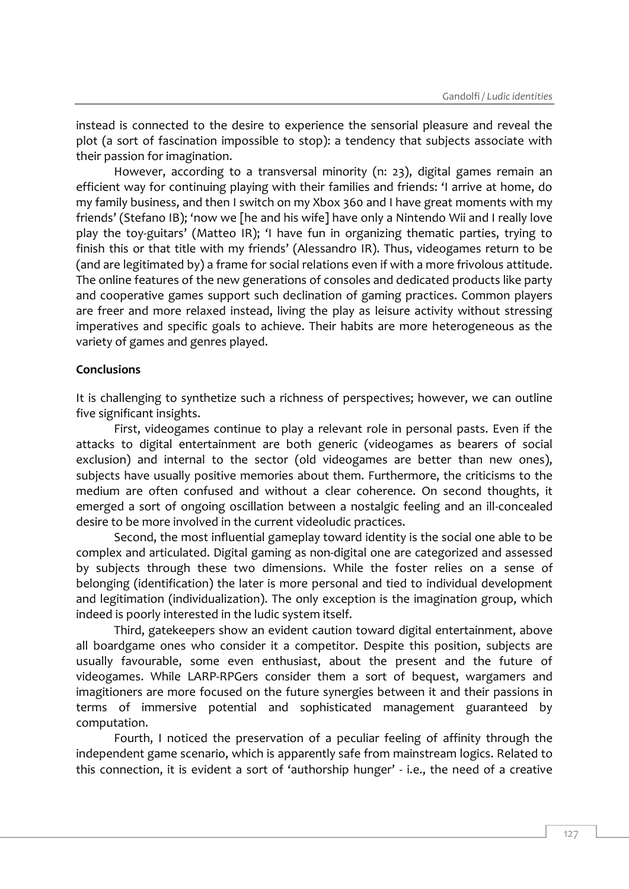instead is connected to the desire to experience the sensorial pleasure and reveal the plot (a sort of fascination impossible to stop): a tendency that subjects associate with their passion for imagination.

However, according to a transversal minority (n: 23), digital games remain an efficient way for continuing playing with their families and friends: 'I arrive at home, do my family business, and then I switch on my Xbox 360 and I have great moments with my friends' (Stefano IB); 'now we [he and his wife] have only a Nintendo Wii and I really love play the toy-guitars' (Matteo IR); 'I have fun in organizing thematic parties, trying to finish this or that title with my friends' (Alessandro IR). Thus, videogames return to be (and are legitimated by) a frame for social relations even if with a more frivolous attitude. The online features of the new generations of consoles and dedicated products like party and cooperative games support such declination of gaming practices. Common players are freer and more relaxed instead, living the play as leisure activity without stressing imperatives and specific goals to achieve. Their habits are more heterogeneous as the variety of games and genres played.

## **Conclusions**

It is challenging to synthetize such a richness of perspectives; however, we can outline five significant insights.

First, videogames continue to play a relevant role in personal pasts. Even if the attacks to digital entertainment are both generic (videogames as bearers of social exclusion) and internal to the sector (old videogames are better than new ones), subjects have usually positive memories about them. Furthermore, the criticisms to the medium are often confused and without a clear coherence. On second thoughts, it emerged a sort of ongoing oscillation between a nostalgic feeling and an ill-concealed desire to be more involved in the current videoludic practices.

Second, the most influential gameplay toward identity is the social one able to be complex and articulated. Digital gaming as non-digital one are categorized and assessed by subjects through these two dimensions. While the foster relies on a sense of belonging (identification) the later is more personal and tied to individual development and legitimation (individualization). The only exception is the imagination group, which indeed is poorly interested in the ludic system itself.

Third, gatekeepers show an evident caution toward digital entertainment, above all boardgame ones who consider it a competitor. Despite this position, subjects are usually favourable, some even enthusiast, about the present and the future of videogames. While LARP-RPGers consider them a sort of bequest, wargamers and imagitioners are more focused on the future synergies between it and their passions in terms of immersive potential and sophisticated management guaranteed by computation.

Fourth, I noticed the preservation of a peculiar feeling of affinity through the independent game scenario, which is apparently safe from mainstream logics. Related to this connection, it is evident a sort of 'authorship hunger' - i.e., the need of a creative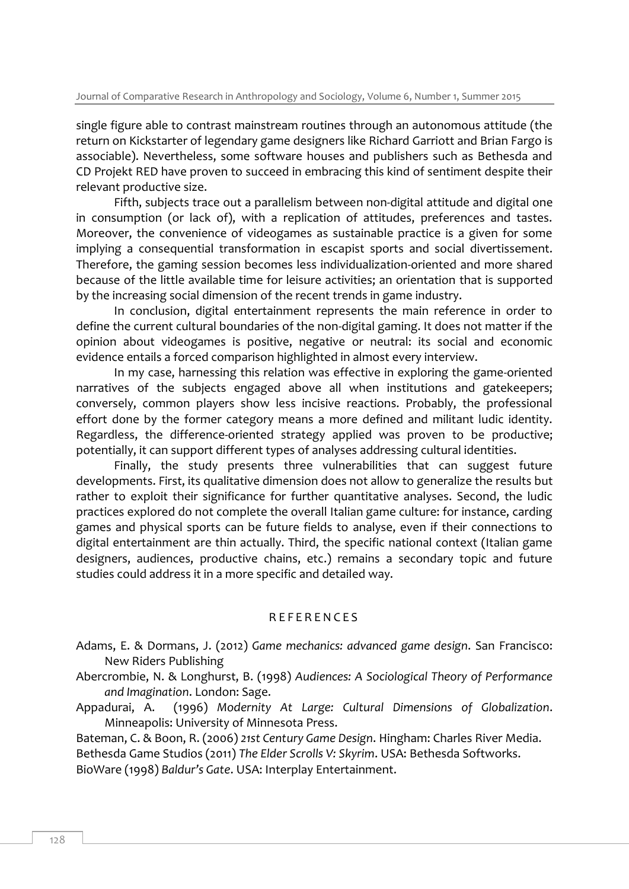single figure able to contrast mainstream routines through an autonomous attitude (the return on Kickstarter of legendary game designers like Richard Garriott and Brian Fargo is associable). Nevertheless, some software houses and publishers such as Bethesda and CD Projekt RED have proven to succeed in embracing this kind of sentiment despite their relevant productive size.

Fifth, subjects trace out a parallelism between non-digital attitude and digital one in consumption (or lack of), with a replication of attitudes, preferences and tastes. Moreover, the convenience of videogames as sustainable practice is a given for some implying a consequential transformation in escapist sports and social divertissement. Therefore, the gaming session becomes less individualization-oriented and more shared because of the little available time for leisure activities; an orientation that is supported by the increasing social dimension of the recent trends in game industry.

In conclusion, digital entertainment represents the main reference in order to define the current cultural boundaries of the non-digital gaming. It does not matter if the opinion about videogames is positive, negative or neutral: its social and economic evidence entails a forced comparison highlighted in almost every interview.

In my case, harnessing this relation was effective in exploring the game-oriented narratives of the subjects engaged above all when institutions and gatekeepers; conversely, common players show less incisive reactions. Probably, the professional effort done by the former category means a more defined and militant ludic identity. Regardless, the difference-oriented strategy applied was proven to be productive; potentially, it can support different types of analyses addressing cultural identities.

Finally, the study presents three vulnerabilities that can suggest future developments. First, its qualitative dimension does not allow to generalize the results but rather to exploit their significance for further quantitative analyses. Second, the ludic practices explored do not complete the overall Italian game culture: for instance, carding games and physical sports can be future fields to analyse, even if their connections to digital entertainment are thin actually. Third, the specific national context (Italian game designers, audiences, productive chains, etc.) remains a secondary topic and future studies could address it in a more specific and detailed way.

### R E F E R E N C E S

Adams, E. & Dormans, J. (2012) *Game mechanics: advanced game design*. San Francisco: New Riders Publishing

- Abercrombie, N. & Longhurst, B. (1998) *Audiences: A Sociological Theory of Performance and Imagination*. London: Sage.
- Appadurai, A. (1996) *Modernity At Large: Cultural Dimensions of Globalization*. Minneapolis: University of Minnesota Press.

Bateman, C. & Boon, R. (2006) *21st Century Game Design*. Hingham: Charles River Media. Bethesda Game Studios (2011) *The Elder Scrolls V: Skyrim*. USA: Bethesda Softworks. BioWare (1998) *Baldur's Gate*. USA: Interplay Entertainment.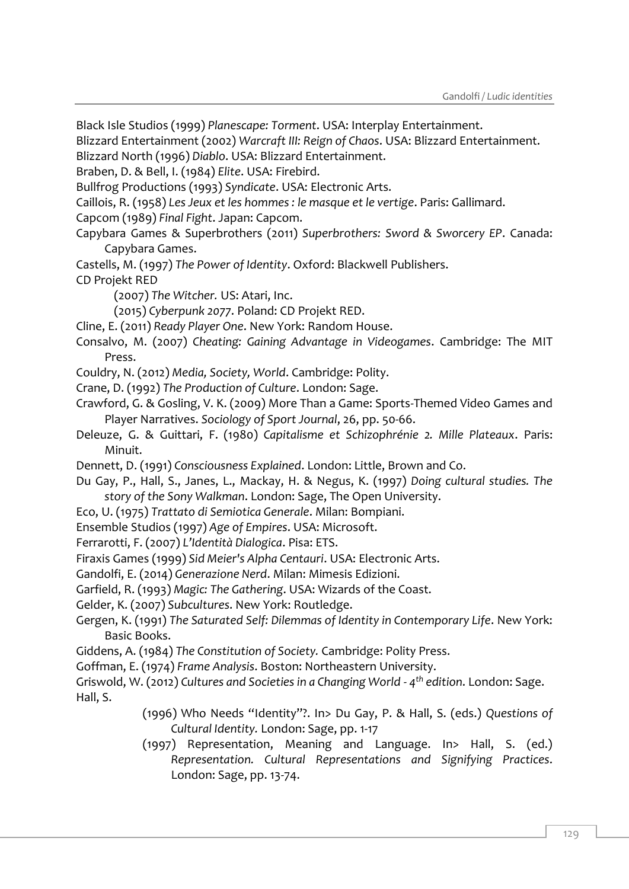Black Isle Studios (1999) *Planescape: Torment*. USA: Interplay Entertainment.

Blizzard Entertainment (2002) *Warcraft III: Reign of Chaos*. USA: Blizzard Entertainment. Blizzard North (1996) *Diablo*. USA: Blizzard Entertainment.

Braben, D. & Bell, I. (1984) *Elite*. USA: Firebird.

Bullfrog Productions (1993) *Syndicate*. USA: Electronic Arts.

Caillois, R. (1958) *Les Jeux et les hommes : le masque et le vertige*. Paris: Gallimard.

Capcom (1989) *Final Fight*. Japan: Capcom.

- Capybara Games & Superbrothers (2011) *Superbrothers: Sword & Sworcery EP*. Canada: Capybara Games.
- Castells, M. (1997) *The Power of Identity*. Oxford: Blackwell Publishers.

CD Projekt RED

(2007) *The Witcher.* US: Atari, Inc.

(2015) *Cyberpunk 2077*. Poland: CD Projekt RED.

- Cline, E. (2011) *Ready Player One*. New York: Random House.
- Consalvo, M. (2007) *Cheating: Gaining Advantage in Videogames*. Cambridge: The MIT Press.

Couldry, N. (2012) *Media, Society, World*. Cambridge: Polity.

- Crane, D. (1992) *The Production of Culture*. London: Sage.
- Crawford, G. & Gosling, V. K. (2009) More Than a Game: Sports-Themed Video Games and Player Narratives. *Sociology of Sport Journal*, 26, pp. 50-66.
- Deleuze, G. & Guittari, F. (1980) *Capitalisme et Schizophrénie 2. Mille Plateaux*. Paris: Minuit.
- Dennett, D. (1991) *Consciousness Explained*. London: Little, Brown and Co.
- Du Gay, P., Hall, S., Janes, L., Mackay, H. & Negus, K. (1997) *Doing cultural studies. The story of the Sony Walkman*. London: Sage, The Open University.
- Eco, U. (1975) *Trattato di Semiotica Generale*. Milan: Bompiani.
- Ensemble Studios (1997) *Age of Empires*. USA: Microsoft.
- Ferrarotti, F. (2007) *L'Identità Dialogica*. Pisa: ETS.

Firaxis Games (1999) *Sid Meier's Alpha Centauri*. USA: Electronic Arts.

Gandolfi, E. (2014) *Generazione Nerd*. Milan: Mimesis Edizioni.

Garfield, R. (1993) *Magic: The Gathering*. USA: Wizards of the Coast.

- Gelder, K. (2007) *Subcultures*. New York: Routledge.
- Gergen, K. (1991) *The Saturated Self: Dilemmas of Identity in Contemporary Life*. New York: Basic Books.
- Giddens, A. (1984) *The Constitution of Society.* Cambridge: Polity Press.
- Goffman, E. (1974) *Frame Analysis*. Boston: Northeastern University.

Griswold, W. (2012) *Cultures and Societies in a Changing World - 4 th edition*. London: Sage. Hall, S.

- (1996) Who Needs "Identity"?. In> Du Gay, P. & Hall, S. (eds.) *Questions of Cultural Identity.* London: Sage, pp. 1-17
- (1997) Representation, Meaning and Language. In> Hall, S. (ed.) *Representation. Cultural Representations and Signifying Practices*. London: Sage, pp. 13-74.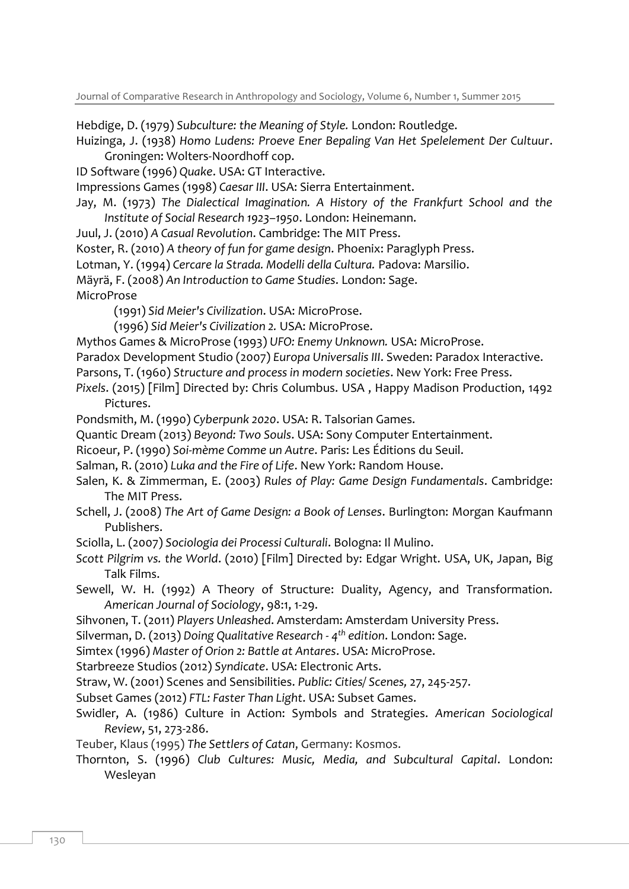Hebdige, D. (1979) *Subculture: the Meaning of Style.* London: Routledge.

- Huizinga, J. (1938) *Homo Ludens: Proeve Ener Bepaling Van Het Spelelement Der Cultuur*. Groningen: Wolters-Noordhoff cop.
- ID Software (1996) *Quake*. USA: GT Interactive.
- Impressions Games (1998) *Caesar III*. USA: Sierra Entertainment.
- Jay, M. (1973) *The Dialectical Imagination. A History of the Frankfurt School and the Institute of Social Research 1923–1950*. London: Heinemann.
- Juul, J. (2010) *A Casual Revolution*. Cambridge: The MIT Press.
- Koster, R. (2010) *A theory of fun for game design*. Phoenix: Paraglyph Press.
- Lotman, Y. (1994) *Cercare la Strada. Modelli della Cultura.* Padova: Marsilio.
- Mäyrä, F. (2008) *An Introduction to Game Studies*. London: Sage.

MicroProse

(1991) *Sid Meier's Civilization*. USA: MicroProse.

(1996) *Sid Meier's Civilization 2.* USA: MicroProse.

- Mythos Games & MicroProse (1993) *UFO: Enemy Unknown.* USA: MicroProse.
- Paradox Development Studio (2007) *Europa Universalis III*. Sweden: Paradox Interactive.
- Parsons, T. (1960) *Structure and process in modern societies*. New York: Free Press.
- *Pixels*. (2015) [Film] Directed by: Chris Columbus. USA , Happy Madison Production, 1492 Pictures.
- Pondsmith, M. (1990) *Cyberpunk 2020*. USA: R. Talsorian Games.
- Quantic Dream (2013) *Beyond: Two Souls*. USA: Sony Computer Entertainment.
- Ricoeur, P. (1990) *Soi-mème Comme un Autre*. Paris: Les Éditions du Seuil.
- Salman, R. (2010) *Luka and the Fire of Life*. New York: Random House.
- Salen, K. & Zimmerman, E. (2003) *Rules of Play: Game Design Fundamentals*. Cambridge: The MIT Press.
- Schell, J. (2008) *The Art of Game Design: a Book of Lenses*. Burlington: Morgan Kaufmann Publishers.
- Sciolla, L. (2007) *Sociologia dei Processi Culturali*. Bologna: Il Mulino.
- *Scott Pilgrim vs. the World*. (2010) [Film] Directed by: Edgar Wright. USA, UK, Japan, Big Talk Films.
- Sewell, W. H. (1992) A Theory of Structure: Duality, Agency, and Transformation. *American Journal of Sociology*, 98:1, 1-29.
- Sihvonen, T. (2011) *Players Unleashed*. Amsterdam: Amsterdam University Press.
- Silverman, D. (2013) *Doing Qualitative Research - 4 th edition*. London: Sage.
- Simtex (1996) *Master of Orion 2: Battle at Antares*. USA: MicroProse.

Starbreeze Studios (2012) *Syndicate*. USA: Electronic Arts.

Straw, W. (2001) Scenes and Sensibilities. *Public: Cities/ Scenes,* 27, 245-257.

- Subset Games (2012) *FTL: Faster Than Light*. USA: Subset Games.
- Swidler, A. (1986) Culture in Action: Symbols and Strategies. *American Sociological Review*, 51, 273-286.
- Teuber, Klaus (1995) *The Settlers of Catan*, Germany: Kosmos.
- Thornton, S. (1996) *Club Cultures: Music, Media, and Subcultural Capital*. London: Wesleyan